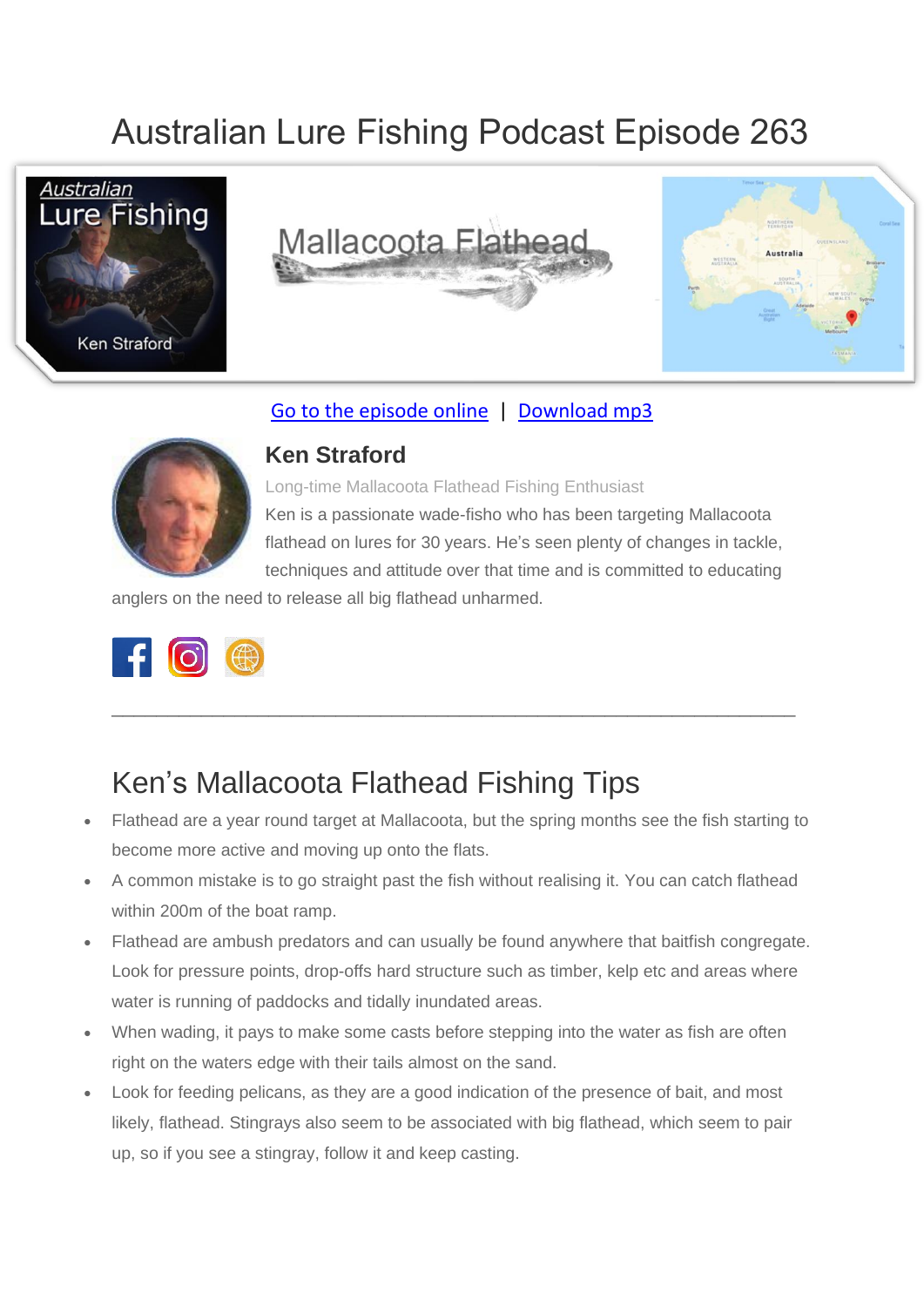# Australian Lure Fishing Podcast Episode 263







#### [Go to the episode online](https://doclures.com/mallacoota-flathead-ken-straford/) | [Download mp3](https://traffic.libsyn.com/secure/doclures/kununurra-barramundi-dick-pasfield.mp3)



#### **Ken Straford**

Long-time Mallacoota Flathead Fishing Enthusiast Ken is a passionate wade-fisho who has been targeting Mallacoota flathead on lures for 30 years. He's seen plenty of changes in tackle, techniques and attitude over that time and is committed to educating

anglers on the need to release all big flathead unharmed.



## Ken's Mallacoota Flathead Fishing Tips

• Flathead are a year round target at Mallacoota, but the spring months see the fish starting to become more active and moving up onto the flats.

 $\_$  , and the set of the set of the set of the set of the set of the set of the set of the set of the set of the set of the set of the set of the set of the set of the set of the set of the set of the set of the set of th

- A common mistake is to go straight past the fish without realising it. You can catch flathead within 200m of the boat ramp.
- Flathead are ambush predators and can usually be found anywhere that baitfish congregate. Look for pressure points, drop-offs hard structure such as timber, kelp etc and areas where water is running of paddocks and tidally inundated areas.
- When wading, it pays to make some casts before stepping into the water as fish are often right on the waters edge with their tails almost on the sand.
- Look for feeding pelicans, as they are a good indication of the presence of bait, and most likely, flathead. Stingrays also seem to be associated with big flathead, which seem to pair up, so if you see a stingray, follow it and keep casting.